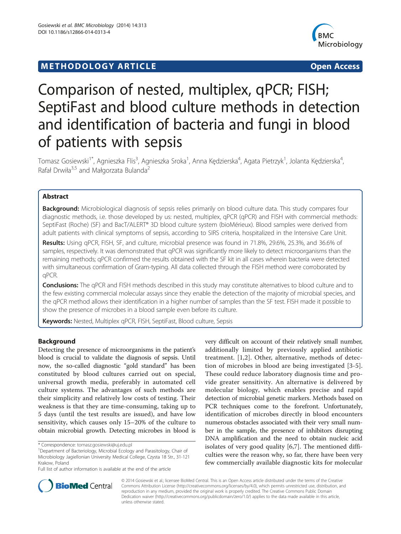# **METHODOLOGY ARTICLE Example 2018 12:00 Developer Access**



# Comparison of nested, multiplex, qPCR; FISH; SeptiFast and blood culture methods in detection and identification of bacteria and fungi in blood of patients with sepsis

Tomasz Gosiewski<sup>1\*</sup>, Agnieszka Flis<sup>3</sup>, Agnieszka Sroka<sup>1</sup>, Anna Kędzierska<sup>4</sup>, Agata Pietrzyk<sup>1</sup>, Jolanta Kędzierska<sup>4</sup> , Rafał Drwiła<sup>3,5</sup> and Małgorzata Bulanda<sup>2</sup>

## Abstract

Background: Microbiological diagnosis of sepsis relies primarily on blood culture data. This study compares four diagnostic methods, i.e. those developed by us: nested, multiplex, qPCR (qPCR) and FISH with commercial methods: SeptiFast (Roche) (SF) and BacT/ALERT® 3D blood culture system (bioMérieux). Blood samples were derived from adult patients with clinical symptoms of sepsis, according to SIRS criteria, hospitalized in the Intensive Care Unit.

Results: Using qPCR, FISH, SF, and culture, microbial presence was found in 71.8%, 29.6%, 25.3%, and 36.6% of samples, respectively. It was demonstrated that qPCR was significantly more likely to detect microorganisms than the remaining methods; qPCR confirmed the results obtained with the SF kit in all cases wherein bacteria were detected with simultaneous confirmation of Gram-typing. All data collected through the FISH method were corroborated by qPCR.

Conclusions: The qPCR and FISH methods described in this study may constitute alternatives to blood culture and to the few existing commercial molecular assays since they enable the detection of the majority of microbial species, and the qPCR method allows their identification in a higher number of samples than the SF test. FISH made it possible to show the presence of microbes in a blood sample even before its culture.

Keywords: Nested, Multiplex qPCR, FISH, SeptiFast, Blood culture, Sepsis

## Background

Detecting the presence of microorganisms in the patient's blood is crucial to validate the diagnosis of sepsis. Until now, the so-called diagnostic "gold standard" has been constituted by blood cultures carried out on special, universal growth media, preferably in automated cell culture systems. The advantages of such methods are their simplicity and relatively low costs of testing. Their weakness is that they are time-consuming, taking up to 5 days (until the test results are issued), and have low sensitivity, which causes only 15–20% of the culture to obtain microbial growth. Detecting microbes in blood is

very difficult on account of their relatively small number, additionally limited by previously applied antibiotic treatment. [[1,2\]](#page-6-0). Other, alternative, methods of detection of microbes in blood are being investigated [[3](#page-6-0)-[5](#page-6-0)]. These could reduce laboratory diagnosis time and provide greater sensitivity. An alternative is delivered by molecular biology, which enables precise and rapid detection of microbial genetic markers. Methods based on PCR techniques come to the forefront. Unfortunately, identification of microbes directly in blood encounters numerous obstacles associated with their very small number in the sample, the presence of inhibitors disrupting DNA amplification and the need to obtain nucleic acid isolates of very good quality [[6,7\]](#page-6-0). The mentioned difficulties were the reason why, so far, there have been very few commercially available diagnostic kits for molecular



© 2014 Gosiewski et al.; licensee BioMed Central. This is an Open Access article distributed under the terms of the Creative Commons Attribution License [\(http://creativecommons.org/licenses/by/4.0\)](http://creativecommons.org/licenses/by/4.0), which permits unrestricted use, distribution, and reproduction in any medium, provided the original work is properly credited. The Creative Commons Public Domain Dedication waiver [\(http://creativecommons.org/publicdomain/zero/1.0/](http://creativecommons.org/publicdomain/zero/1.0/)) applies to the data made available in this article, unless otherwise stated.

<sup>\*</sup> Correspondence: [tomasz.gosiewski@uj.edu.pl](mailto:tomasz.gosiewski@uj.edu.pl) <sup>1</sup>

Department of Bacteriology, Microbial Ecology and Parasitology, Chair of Microbiology Jagiellonian University Medical College, Czysta 18 Str., 31-121 Krakow, Poland

Full list of author information is available at the end of the article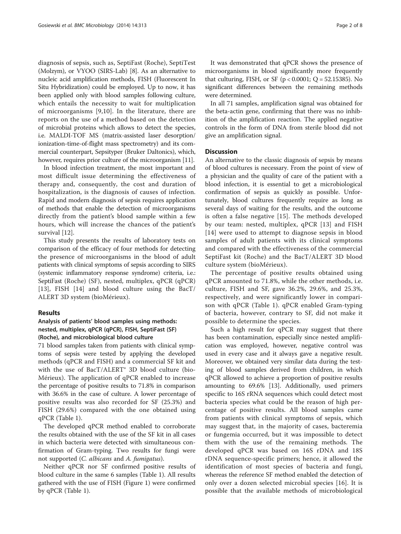diagnosis of sepsis, such as, SeptiFast (Roche), SeptiTest (Molzym), or VYOO (SIRS-Lab) [\[8\]](#page-6-0). As an alternative to nucleic acid amplification methods, FISH (Fluorescent In Situ Hybridization) could be employed. Up to now, it has been applied only with blood samples following culture, which entails the necessity to wait for multiplication of microorganisms [[9,10](#page-6-0)]. In the literature, there are reports on the use of a method based on the detection of microbial proteins which allows to detect the species, i.e. MALDI-TOF MS (matrix-assisted laser desorption/ ionization-time-of-flight mass spectrometry) and its commercial counterpart, Sepsityper (Bruker Daltonics), which, however, requires prior culture of the microorganism [\[11\]](#page-6-0).

In blood infection treatment, the most important and most difficult issue determining the effectiveness of therapy and, consequently, the cost and duration of hospitalization, is the diagnosis of causes of infection. Rapid and modern diagnosis of sepsis requires application of methods that enable the detection of microorganisms directly from the patient's blood sample within a few hours, which will increase the chances of the patient's survival [[12](#page-6-0)].

This study presents the results of laboratory tests on comparison of the efficacy of four methods for detecting the presence of microorganisms in the blood of adult patients with clinical symptoms of sepsis according to SIRS (systemic inflammatory response syndrome) criteria, i.e.: SeptiFast (Roche) (SF), nested, multiplex, qPCR (qPCR) [[13\]](#page-6-0), FISH [\[14](#page-6-0)] and blood culture using the BacT/ ALERT 3D system (bioMérieux).

#### Results

## Analysis of patients' blood samples using methods: nested, multiplex, qPCR (qPCR), FISH, SeptiFast (SF) (Roche), and microbiological blood culture

71 blood samples taken from patients with clinical symptoms of sepsis were tested by applying the developed methods (qPCR and FISH) and a commercial SF kit and with the use of BacT/ALERT<sup>®</sup> 3D blood culture (bio-Mérieux). The application of qPCR enabled to increase the percentage of positive results to 71.8% in comparison with 36.6% in the case of culture. A lower percentage of positive results was also recorded for SF (25.3%) and FISH (29.6%) compared with the one obtained using qPCR (Table [1\)](#page-2-0).

The developed qPCR method enabled to corroborate the results obtained with the use of the SF kit in all cases in which bacteria were detected with simultaneous confirmation of Gram-typing. Two results for fungi were not supported (*C. albicans* and *A. fumigatus*).

Neither qPCR nor SF confirmed positive results of blood culture in the same 6 samples (Table [1\)](#page-2-0). All results gathered with the use of FISH (Figure [1](#page-4-0)) were confirmed by qPCR (Table [1\)](#page-2-0).

It was demonstrated that qPCR shows the presence of microorganisms in blood significantly more frequently that culturing, FISH, or SF ( $p < 0.0001$ ;  $Q = 52.15385$ ). No significant differences between the remaining methods were determined.

In all 71 samples, amplification signal was obtained for the beta-actin gene, confirming that there was no inhibition of the amplification reaction. The applied negative controls in the form of DNA from sterile blood did not give an amplification signal.

#### **Discussion**

An alternative to the classic diagnosis of sepsis by means of blood cultures is necessary. From the point of view of a physician and the quality of care of the patient with a blood infection, it is essential to get a microbiological confirmation of sepsis as quickly as possible. Unfortunately, blood cultures frequently require as long as several days of waiting for the results, and the outcome is often a false negative [[15](#page-6-0)]. The methods developed by our team: nested, multiplex, qPCR [[13](#page-6-0)] and FISH [[14](#page-6-0)] were used to attempt to diagnose sepsis in blood samples of adult patients with its clinical symptoms and compared with the effectiveness of the commercial SeptiFast kit (Roche) and the BacT/ALERT 3D blood culture system (bioMérieux).

The percentage of positive results obtained using qPCR amounted to 71.8%, while the other methods, i.e. culture, FISH and SF, gave 36.2%, 29.6%, and 25.3%, respectively, and were significantly lower in comparison with qPCR (Table [1\)](#page-2-0). qPCR enabled Gram-typing of bacteria, however, contrary to SF, did not make it possible to determine the species.

Such a high result for qPCR may suggest that there has been contamination, especially since nested amplification was employed, however, negative control was used in every case and it always gave a negative result. Moreover, we obtained very similar data during the testing of blood samples derived from children, in which qPCR allowed to achieve a proportion of positive results amounting to 69.6% [[13](#page-6-0)]. Additionally, used primers specific to 16S rRNA sequences which could detect most bacteria species what could be the reason of high percentage of positive results. All blood samples came from patients with clinical symptoms of sepsis, which may suggest that, in the majority of cases, bacteremia or fungemia occurred, but it was impossible to detect them with the use of the remaining methods. The developed qPCR was based on 16S rDNA and 18S rDNA sequence-specific primers; hence, it allowed the identification of most species of bacteria and fungi, whereas the reference SF method enabled the detection of only over a dozen selected microbial species [\[16](#page-6-0)]. It is possible that the available methods of microbiological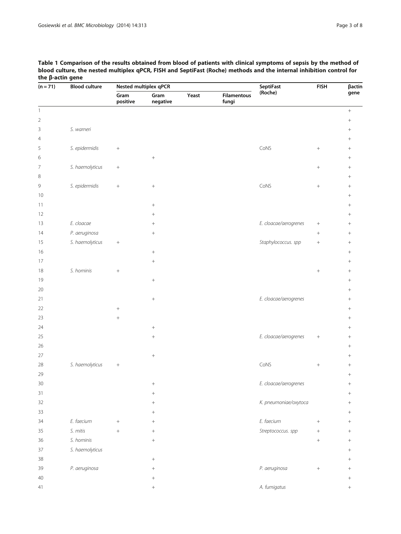<span id="page-2-0"></span>

| Table 1 Comparison of the results obtained from blood of patients with clinical symptoms of sepsis by the method of  |
|----------------------------------------------------------------------------------------------------------------------|
| blood culture, the nested multiplex gPCR, FISH and SeptiFast (Roche) methods and the internal inhibition control for |
| the β-actin gene                                                                                                     |

| $(n = 71)$     | <b>Blood culture</b> |                  | Nested multiplex qPCR |       | <b>SeptiFast</b>            | <b>FISH</b>           | βactin    |                  |
|----------------|----------------------|------------------|-----------------------|-------|-----------------------------|-----------------------|-----------|------------------|
|                |                      | Gram<br>positive | Gram<br>negative      | Yeast | <b>Filamentous</b><br>fungi | (Roche)               |           | gene             |
| $\mathbf{1}$   |                      |                  |                       |       |                             |                       |           | $\boldsymbol{+}$ |
| $\sqrt{2}$     |                      |                  |                       |       |                             |                       |           |                  |
| 3              | S. warneri           |                  |                       |       |                             |                       |           |                  |
| $\overline{4}$ |                      |                  |                       |       |                             |                       |           |                  |
| 5              | S. epidermidis       | $\! +$           |                       |       |                             | CoNS                  | $\! + \!$ |                  |
| 6              |                      |                  | $\! +$                |       |                             |                       |           | $+$              |
| 7              | S. haemolyticus      | $\boldsymbol{+}$ |                       |       |                             |                       | $^{+}$    |                  |
| 8              |                      |                  |                       |       |                             |                       |           | $\! + \!$        |
| 9              | S. epidermidis       | $\! +$           | $\! + \!\!\!\!$       |       |                             | CoNS                  | $^+$      |                  |
| 10             |                      |                  |                       |       |                             |                       |           | $^{+}$           |
| 11             |                      |                  | $\! + \!\!\!\!$       |       |                             |                       |           |                  |
| 12             |                      |                  | $+$                   |       |                             |                       |           | $^{+}$           |
| 13             | E. cloacae           |                  |                       |       |                             | E. cloacae/aerogrenes |           | $^{+}$           |
| 14             | P. aeruginosa        |                  | $^{+}$                |       |                             |                       | $\! + \!$ |                  |
| 15             | S. haemolyticus      | $\boldsymbol{+}$ |                       |       |                             | Staphylococcus. spp   | $\! + \!$ | $\! + \!\!\!\!$  |
| 16             |                      |                  | $^{+}$                |       |                             |                       |           | $^{+}$           |
| 17             |                      |                  | $\! + \!$             |       |                             |                       |           | $\! + \!$        |
| 18             | S. hominis           | $\! +$           |                       |       |                             |                       | $\! + \!$ |                  |
| 19             |                      |                  | $\! + \!$             |       |                             |                       |           | $^{+}$           |
| 20             |                      |                  |                       |       |                             |                       |           |                  |
| 21             |                      |                  | $\! +$                |       |                             | E. cloacae/aerogrenes |           | $\! + \!\!\!\!$  |
| 22             |                      |                  |                       |       |                             |                       |           | $\! + \!$        |
| 23             |                      |                  |                       |       |                             |                       |           | $\! + \!$        |
| 24             |                      |                  | $\! + \!\!\!\!$       |       |                             |                       |           | $\! + \!\!\!\!$  |
| 25             |                      |                  | $\! + \!$             |       |                             | E. cloacae/aerogrenes | $^+$      | $^{+}$           |
| 26             |                      |                  |                       |       |                             |                       |           |                  |
| 27             |                      |                  | $\boldsymbol{+}$      |       |                             |                       |           | $\! + \!\!\!\!$  |
| 28             | S. haemolyticus      | $\boldsymbol{+}$ |                       |       |                             | CoNS                  | $^{+}$    | $^{+}$           |
| 29             |                      |                  |                       |       |                             |                       |           |                  |
| $30\,$         |                      |                  | $\! + \!\!\!\!$       |       |                             | E. cloacae/aerogrenes |           | $+$              |
| 31             |                      |                  | $\! + \!\!\!\!$       |       |                             |                       |           | $\! + \!\!\!\!$  |
| 32             |                      |                  |                       |       |                             | K. pneumoniae/oxytoca |           | $^{+}$           |
| 33             |                      |                  | $\! + \!\!\!\!$       |       |                             |                       |           | $+$              |
| 34             | E. faecium           | $^{+}$           | $\! + \!\!\!\!$       |       |                             | E. faecium            | $+$       | $\! + \!\!\!\!$  |
| 35             | S. mitis             | $+$              |                       |       |                             | Streptococcus. spp    | $^{+}$    | $+$              |
| 36             | S. hominis           |                  | $^{+}$                |       |                             |                       | $^{+}$    | $^{+}$           |
| 37             | S. haemolyticus      |                  |                       |       |                             |                       |           |                  |
| 38             |                      |                  | $+$                   |       |                             |                       |           |                  |
| 39             | P. aeruginosa        |                  | $^{+}$                |       |                             | P. aeruginosa         | $\! + \!$ | $+$              |
| 40             |                      |                  | $+$                   |       |                             |                       |           | $\! + \!\!\!\!$  |
| 41             |                      |                  | $^{+}$                |       |                             | A. fumigatus          |           | $^{+}$           |
|                |                      |                  |                       |       |                             |                       |           |                  |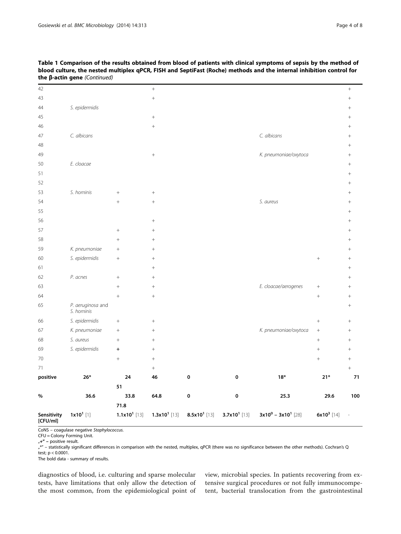| 43<br>$^{+}$<br>S. epidermidis<br>44<br>$^{+}$<br>45<br>$^{+}$<br>46<br>$\! + \!$<br>$\ddot{}$<br>C. albicans<br>C. albicans<br>47<br>$^{+}$<br>48<br>$^{+}$<br>K. pneumoniae/oxytoca<br>49<br>$+$<br>E. cloacae<br>50<br>$^{+}$<br>51<br>$^{+}$<br>52<br>$^{+}$<br>S. hominis<br>53<br>$\! +$<br>$^{+}$<br>S. aureus<br>54<br>$^{+}$<br>$^{+}$<br>$^{+}$<br>55<br>$^{+}$<br>56<br>$^{+}$<br>$^{+}$<br>57<br>$^{+}$<br>$\! +$<br>$^{+}$<br>58<br>$\ddot{}$<br>$^{+}$<br>$^{+}$<br>K. pneumoniae<br>59<br>$^{+}$<br>$+$<br>$^{+}$<br>S. epidermidis<br>60<br>$^{+}$<br>$\! +$<br>$^{+}$<br>$\! + \!\!\!\!$<br>61<br>$+$<br>$^{+}$<br>P. acnes<br>62<br>$\! +$<br>$^{+}$<br>E. cloacae/aerogenes<br>63<br>$\! +$<br>$^{+}$<br>$^{+}$<br>64<br>$^{+}$<br>$+$<br>$^{+}$<br>P. aeruginosa and<br>65<br>$^{+}$<br>S. hominis<br>S. epidermidis<br>66<br>$\! +$<br>$\! + \!$<br>$^{+}$<br>K. pneumoniae<br>K. pneumoniae/oxytoca<br>67<br>$\! +$<br>$\boldsymbol{+}$<br>$^{+}$<br>S. aureus<br>68<br>$^{+}$<br>$^{+}$<br>$^{+}$<br>$^{+}$<br>S. epidermidis<br>69<br>$^{+}$<br>$\begin{array}{c} + \end{array}$<br>$^{+}$<br>70<br>$^{+}$<br>$^{+}$<br>$^{+}$<br>$^{+}$<br>71<br>$\boldsymbol{+}$<br>$^{+}$<br>positive<br>0<br>0<br>$18*$<br>$21*$<br>71<br>$26*$<br>24<br>46<br>51<br>36.6<br>33.8<br>64.8<br>0<br>25.3<br>29.6<br>100<br>$\%$<br>0<br>71.8 | Sensitivity<br>[CFU/ml] | $1x101$ [1] | $1.1x101$ [13] | $1.3x101$ [13] | $8.5x101$ [13] | $3.7x10^1$ [13] | $3x10^0 - 3x10^1$ [28] | $6x10^3$ [14] |           |
|--------------------------------------------------------------------------------------------------------------------------------------------------------------------------------------------------------------------------------------------------------------------------------------------------------------------------------------------------------------------------------------------------------------------------------------------------------------------------------------------------------------------------------------------------------------------------------------------------------------------------------------------------------------------------------------------------------------------------------------------------------------------------------------------------------------------------------------------------------------------------------------------------------------------------------------------------------------------------------------------------------------------------------------------------------------------------------------------------------------------------------------------------------------------------------------------------------------------------------------------------------------------------------------------------------------------------------------------------------|-------------------------|-------------|----------------|----------------|----------------|-----------------|------------------------|---------------|-----------|
|                                                                                                                                                                                                                                                                                                                                                                                                                                                                                                                                                                                                                                                                                                                                                                                                                                                                                                                                                                                                                                                                                                                                                                                                                                                                                                                                                        |                         |             |                |                |                |                 |                        |               |           |
|                                                                                                                                                                                                                                                                                                                                                                                                                                                                                                                                                                                                                                                                                                                                                                                                                                                                                                                                                                                                                                                                                                                                                                                                                                                                                                                                                        |                         |             |                |                |                |                 |                        |               |           |
|                                                                                                                                                                                                                                                                                                                                                                                                                                                                                                                                                                                                                                                                                                                                                                                                                                                                                                                                                                                                                                                                                                                                                                                                                                                                                                                                                        |                         |             |                |                |                |                 |                        |               |           |
|                                                                                                                                                                                                                                                                                                                                                                                                                                                                                                                                                                                                                                                                                                                                                                                                                                                                                                                                                                                                                                                                                                                                                                                                                                                                                                                                                        |                         |             |                |                |                |                 |                        |               |           |
|                                                                                                                                                                                                                                                                                                                                                                                                                                                                                                                                                                                                                                                                                                                                                                                                                                                                                                                                                                                                                                                                                                                                                                                                                                                                                                                                                        |                         |             |                |                |                |                 |                        |               |           |
|                                                                                                                                                                                                                                                                                                                                                                                                                                                                                                                                                                                                                                                                                                                                                                                                                                                                                                                                                                                                                                                                                                                                                                                                                                                                                                                                                        |                         |             |                |                |                |                 |                        |               |           |
|                                                                                                                                                                                                                                                                                                                                                                                                                                                                                                                                                                                                                                                                                                                                                                                                                                                                                                                                                                                                                                                                                                                                                                                                                                                                                                                                                        |                         |             |                |                |                |                 |                        |               |           |
|                                                                                                                                                                                                                                                                                                                                                                                                                                                                                                                                                                                                                                                                                                                                                                                                                                                                                                                                                                                                                                                                                                                                                                                                                                                                                                                                                        |                         |             |                |                |                |                 |                        |               |           |
|                                                                                                                                                                                                                                                                                                                                                                                                                                                                                                                                                                                                                                                                                                                                                                                                                                                                                                                                                                                                                                                                                                                                                                                                                                                                                                                                                        |                         |             |                |                |                |                 |                        |               |           |
|                                                                                                                                                                                                                                                                                                                                                                                                                                                                                                                                                                                                                                                                                                                                                                                                                                                                                                                                                                                                                                                                                                                                                                                                                                                                                                                                                        |                         |             |                |                |                |                 |                        |               |           |
|                                                                                                                                                                                                                                                                                                                                                                                                                                                                                                                                                                                                                                                                                                                                                                                                                                                                                                                                                                                                                                                                                                                                                                                                                                                                                                                                                        |                         |             |                |                |                |                 |                        |               |           |
|                                                                                                                                                                                                                                                                                                                                                                                                                                                                                                                                                                                                                                                                                                                                                                                                                                                                                                                                                                                                                                                                                                                                                                                                                                                                                                                                                        |                         |             |                |                |                |                 |                        |               |           |
|                                                                                                                                                                                                                                                                                                                                                                                                                                                                                                                                                                                                                                                                                                                                                                                                                                                                                                                                                                                                                                                                                                                                                                                                                                                                                                                                                        |                         |             |                |                |                |                 |                        |               |           |
|                                                                                                                                                                                                                                                                                                                                                                                                                                                                                                                                                                                                                                                                                                                                                                                                                                                                                                                                                                                                                                                                                                                                                                                                                                                                                                                                                        |                         |             |                |                |                |                 |                        |               |           |
|                                                                                                                                                                                                                                                                                                                                                                                                                                                                                                                                                                                                                                                                                                                                                                                                                                                                                                                                                                                                                                                                                                                                                                                                                                                                                                                                                        |                         |             |                |                |                |                 |                        |               |           |
|                                                                                                                                                                                                                                                                                                                                                                                                                                                                                                                                                                                                                                                                                                                                                                                                                                                                                                                                                                                                                                                                                                                                                                                                                                                                                                                                                        |                         |             |                |                |                |                 |                        |               |           |
|                                                                                                                                                                                                                                                                                                                                                                                                                                                                                                                                                                                                                                                                                                                                                                                                                                                                                                                                                                                                                                                                                                                                                                                                                                                                                                                                                        |                         |             |                |                |                |                 |                        |               |           |
|                                                                                                                                                                                                                                                                                                                                                                                                                                                                                                                                                                                                                                                                                                                                                                                                                                                                                                                                                                                                                                                                                                                                                                                                                                                                                                                                                        |                         |             |                |                |                |                 |                        |               |           |
|                                                                                                                                                                                                                                                                                                                                                                                                                                                                                                                                                                                                                                                                                                                                                                                                                                                                                                                                                                                                                                                                                                                                                                                                                                                                                                                                                        |                         |             |                |                |                |                 |                        |               |           |
|                                                                                                                                                                                                                                                                                                                                                                                                                                                                                                                                                                                                                                                                                                                                                                                                                                                                                                                                                                                                                                                                                                                                                                                                                                                                                                                                                        |                         |             |                |                |                |                 |                        |               |           |
|                                                                                                                                                                                                                                                                                                                                                                                                                                                                                                                                                                                                                                                                                                                                                                                                                                                                                                                                                                                                                                                                                                                                                                                                                                                                                                                                                        |                         |             |                |                |                |                 |                        |               |           |
|                                                                                                                                                                                                                                                                                                                                                                                                                                                                                                                                                                                                                                                                                                                                                                                                                                                                                                                                                                                                                                                                                                                                                                                                                                                                                                                                                        |                         |             |                |                |                |                 |                        |               |           |
|                                                                                                                                                                                                                                                                                                                                                                                                                                                                                                                                                                                                                                                                                                                                                                                                                                                                                                                                                                                                                                                                                                                                                                                                                                                                                                                                                        |                         |             |                |                |                |                 |                        |               |           |
|                                                                                                                                                                                                                                                                                                                                                                                                                                                                                                                                                                                                                                                                                                                                                                                                                                                                                                                                                                                                                                                                                                                                                                                                                                                                                                                                                        |                         |             |                |                |                |                 |                        |               |           |
|                                                                                                                                                                                                                                                                                                                                                                                                                                                                                                                                                                                                                                                                                                                                                                                                                                                                                                                                                                                                                                                                                                                                                                                                                                                                                                                                                        |                         |             |                |                |                |                 |                        |               |           |
|                                                                                                                                                                                                                                                                                                                                                                                                                                                                                                                                                                                                                                                                                                                                                                                                                                                                                                                                                                                                                                                                                                                                                                                                                                                                                                                                                        |                         |             |                |                |                |                 |                        |               |           |
|                                                                                                                                                                                                                                                                                                                                                                                                                                                                                                                                                                                                                                                                                                                                                                                                                                                                                                                                                                                                                                                                                                                                                                                                                                                                                                                                                        |                         |             |                |                |                |                 |                        |               |           |
|                                                                                                                                                                                                                                                                                                                                                                                                                                                                                                                                                                                                                                                                                                                                                                                                                                                                                                                                                                                                                                                                                                                                                                                                                                                                                                                                                        |                         |             |                |                |                |                 |                        |               |           |
|                                                                                                                                                                                                                                                                                                                                                                                                                                                                                                                                                                                                                                                                                                                                                                                                                                                                                                                                                                                                                                                                                                                                                                                                                                                                                                                                                        |                         |             |                |                |                |                 |                        |               |           |
|                                                                                                                                                                                                                                                                                                                                                                                                                                                                                                                                                                                                                                                                                                                                                                                                                                                                                                                                                                                                                                                                                                                                                                                                                                                                                                                                                        |                         |             |                |                |                |                 |                        |               |           |
|                                                                                                                                                                                                                                                                                                                                                                                                                                                                                                                                                                                                                                                                                                                                                                                                                                                                                                                                                                                                                                                                                                                                                                                                                                                                                                                                                        |                         |             |                |                |                |                 |                        |               |           |
|                                                                                                                                                                                                                                                                                                                                                                                                                                                                                                                                                                                                                                                                                                                                                                                                                                                                                                                                                                                                                                                                                                                                                                                                                                                                                                                                                        |                         |             |                |                |                |                 |                        |               |           |
|                                                                                                                                                                                                                                                                                                                                                                                                                                                                                                                                                                                                                                                                                                                                                                                                                                                                                                                                                                                                                                                                                                                                                                                                                                                                                                                                                        | 42                      |             |                | $\! + \!$      |                |                 |                        |               | $\! + \!$ |

Table 1 Comparison of the results obtained from blood of patients with clinical symptoms of sepsis by the method of blood culture, the nested multiplex qPCR, FISH and SeptiFast (Roche) methods and the internal inhibition control for the β-actin gene (Continued)

CoNS – coagulase negative Staphylococcus.

CFU = Colony Forming Unit.

 $H''$  – positive result.

 $\tilde{\pi}''$  – statistically significant differences in comparison with the nested, multiplex, qPCR (there was no significance between the other methods). Cochran's Q test; p < 0.0001.

The bold data - summary of results.

diagnostics of blood, i.e. culturing and sparse molecular tests, have limitations that only allow the detection of the most common, from the epidemiological point of view, microbial species. In patients recovering from extensive surgical procedures or not fully immunocompetent, bacterial translocation from the gastrointestinal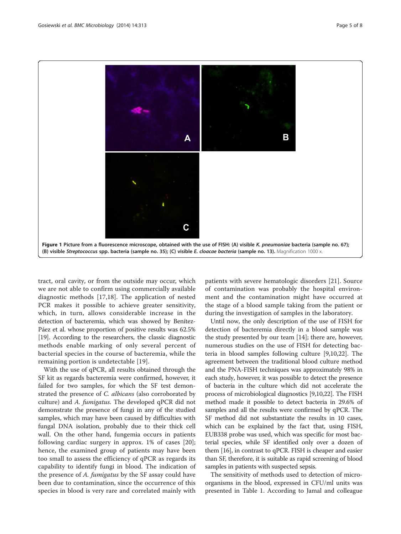<span id="page-4-0"></span>

tract, oral cavity, or from the outside may occur, which we are not able to confirm using commercially available diagnostic methods [\[17,18](#page-6-0)]. The application of nested PCR makes it possible to achieve greater sensitivity, which, in turn, allows considerable increase in the detection of bacteremia, which was showed by Benítez-Páez et al. whose proportion of positive results was 62.5% [[19](#page-6-0)]. According to the researchers, the classic diagnostic methods enable marking of only several percent of bacterial species in the course of bacteremia, while the remaining portion is undetectable [\[19\]](#page-6-0).

With the use of qPCR, all results obtained through the SF kit as regards bacteremia were confirmed, however, it failed for two samples, for which the SF test demonstrated the presence of C. albicans (also corroborated by culture) and A. fumigatus. The developed qPCR did not demonstrate the presence of fungi in any of the studied samples, which may have been caused by difficulties with fungal DNA isolation, probably due to their thick cell wall. On the other hand, fungemia occurs in patients following cardiac surgery in approx. 1% of cases [\[20](#page-6-0)]; hence, the examined group of patients may have been too small to assess the efficiency of qPCR as regards its capability to identify fungi in blood. The indication of the presence of A. *fumigatus* by the SF assay could have been due to contamination, since the occurrence of this species in blood is very rare and correlated mainly with

patients with severe hematologic disorders [\[21](#page-6-0)]. Source of contamination was probably the hospital environment and the contamination might have occurred at the stage of a blood sample taking from the patient or during the investigation of samples in the laboratory.

Until now, the only description of the use of FISH for detection of bacteremia directly in a blood sample was the study presented by our team [\[14](#page-6-0)]; there are, however, numerous studies on the use of FISH for detecting bacteria in blood samples following culture [[9,10,22\]](#page-6-0). The agreement between the traditional blood culture method and the PNA-FISH techniques was approximately 98% in each study, however, it was possible to detect the presence of bacteria in the culture which did not accelerate the process of microbiological diagnostics [[9,10,22\]](#page-6-0). The FISH method made it possible to detect bacteria in 29.6% of samples and all the results were confirmed by qPCR. The SF method did not substantiate the results in 10 cases, which can be explained by the fact that, using FISH, EUB338 probe was used, which was specific for most bacterial species, while SF identified only over a dozen of them [\[16\]](#page-6-0), in contrast to qPCR. FISH is cheaper and easier than SF, therefore, it is suitable as rapid screening of blood samples in patients with suspected sepsis.

The sensitivity of methods used to detection of microorganisms in the blood, expressed in CFU/ml units was presented in Table [1](#page-2-0). According to Jamal and colleague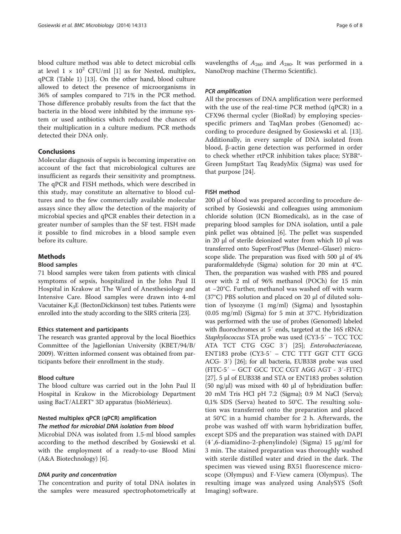blood culture method was able to detect microbial cells at level  $1 \times 10^2$  CFU/ml [[1\]](#page-6-0) as for Nested, multiplex, qPCR (Table [1\)](#page-2-0) [[13\]](#page-6-0). On the other hand, blood culture allowed to detect the presence of microorganisms in 36% of samples compared to 71% in the PCR method. Those difference probably results from the fact that the bacteria in the blood were inhibited by the immune system or used antibiotics which reduced the chances of their multiplication in a culture medium. PCR methods detected their DNA only.

## Conclusions

Molecular diagnosis of sepsis is becoming imperative on account of the fact that microbiological cultures are insufficient as regards their sensitivity and promptness. The qPCR and FISH methods, which were described in this study, may constitute an alternative to blood cultures and to the few commercially available molecular assays since they allow the detection of the majority of microbial species and qPCR enables their detection in a greater number of samples than the SF test. FISH made it possible to find microbes in a blood sample even before its culture.

#### Methods

#### Blood samples

71 blood samples were taken from patients with clinical symptoms of sepsis, hospitalized in the John Paul II Hospital in Krakow at The Ward of Anesthesiology and Intensive Care. Blood samples were drawn into 4-ml Vacutainer K3E (BectonDickinson) test tubes. Patients were enrolled into the study according to the SIRS criteria [[23](#page-6-0)].

#### Ethics statement and participants

The research was granted approval by the local Bioethics Committee of the Jagiellonian University (KBET/94/B/ 2009). Written informed consent was obtained from participants before their enrollment in the study.

## Blood culture

The blood culture was carried out in the John Paul II Hospital in Krakow in the Microbiology Department using BacT/ALERT<sup>®</sup> 3D apparatus (bioMérieux).

## Nested multiplex qPCR (qPCR) amplification

## The method for microbial DNA isolation from blood

Microbial DNA was isolated from 1.5-ml blood samples according to the method described by Gosiewski et al. with the employment of a ready-to-use Blood Mini (A&A Biotechnology) [\[6](#page-6-0)].

#### DNA purity and concentration

The concentration and purity of total DNA isolates in the samples were measured spectrophotometrically at

wavelengths of  $A_{260}$  and  $A_{280}$ . It was performed in a NanoDrop machine (Thermo Scientific).

## PCR amplification

All the processes of DNA amplification were performed with the use of the real-time PCR method (qPCR) in a CFX96 thermal cycler (BioRad) by employing speciesspecific primers and TaqMan probes (Genomed) according to procedure designed by Gosiewski et al. [[13](#page-6-0)]. Additionally, in every sample of DNA isolated from blood, β-actin gene detection was performed in order to check whether rtPCR inhibition takes place; SYBR®- Green JumpStart Taq ReadyMix (Sigma) was used for that purpose [[24\]](#page-6-0).

## FISH method

200 μl of blood was prepared according to procedure described by Gosiewski and colleagues using ammonium chloride solution (ICN Biomedicals), as in the case of preparing blood samples for DNA isolation, until a pale pink pellet was obtained [\[6](#page-6-0)]. The pellet was suspended in 20 μl of sterile deionized water from which 10 μl was transferred onto SuperFrost®Plus (Menzel–Glaser) microscope slide. The preparation was fixed with 500 μl of 4% paraformaldehyde (Sigma) solution for 20 min at 4°C. Then, the preparation was washed with PBS and poured over with 2 ml of 96% methanol (POCh) for 15 min at −20°C. Further, methanol was washed off with warm (37°C) PBS solution and placed on 20 μl of diluted solution of lysozyme (1 mg/ml) (Sigma) and lysostaphin (0.05 mg/ml) (Sigma) for 5 min at 37°C. Hybridization was performed with the use of probes (Genomed) labeled with fluorochromes at 5′ ends, targeted at the 16S rRNA: Staphylococcus STA probe was used (CY3-5′ – TCC TCC ATA TCT CTG CGC 3′) [\[25\]](#page-6-0); Enterobacteriaceae, ENT183 probe (CY3-5′ – CTC TTT GGT CTT GCG ACG- 3′) [[26](#page-6-0)]; for all bacteria, EUB338 probe was used (FITC-5′ – GCT GCC TCC CGT AGG AGT - 3′-FITC) [[27](#page-7-0)]. 5 μl of EUB338 and STA or ENT183 probes solution (50 ng/ $\mu$ l) was mixed with 40  $\mu$ l of hybridization buffer: 20 mM Tris HCl pH 7.2 (Sigma); 0.9 M NaCl (Serva); 0,1% SDS (Serva) heated to 50°C. The resulting solution was transferred onto the preparation and placed at 50°C in a humid chamber for 2 h. Afterwards, the probe was washed off with warm hybridization buffer, except SDS and the preparation was stained with DAPI (4′,6-diamidino-2-phenylindole) (Sigma) 15 μg/ml for 3 min. The stained preparation was thoroughly washed with sterile distilled water and dried in the dark. The specimen was viewed using BX51 fluorescence microscope (Olympus) and F-View camera (Olympus). The resulting image was analyzed using AnalySYS (Soft Imaging) software.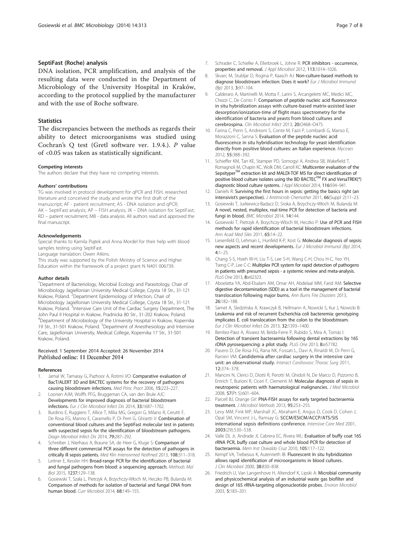#### <span id="page-6-0"></span>SeptiFast (Roche) analysis

DNA isolation, PCR amplification, and analysis of the resulting data were conducted in the Department of Microbiology of the University Hospital in Kraków, according to the protocol supplied by the manufacturer and with the use of Roche software.

#### **Statistics**

The discrepancies between the methods as regards their ability to detect microorganisms was studied using Cochran's Q test (Gretl software ver. 1.9.4.). P value of <0.05 was taken as statistically significant.

#### Competing interests

The authors declare that they have no competing interests.

#### Authors' contributions

TG was involved in protocol development for qPCR and FISH, researched literature and conceived the study and wrote the first draft of the manuscript; AF - patient recruitment; AS - DNA isolation and qPCR; AK – SeptiFast analysis; AP – FISH analysis; JK – DNA isolation for SeptiFast; RD – patient recruitment; MB - data analysis. All authors read and approved the final manuscript.

#### Acknowledgements

Special thanks to Kamila Piątek and Anna Mordel for their help with blood samples testing using SeptiFast.

Language translation: Owen Atkins.

This study was supported by the Polish Ministry of Science and Higher Education within the framework of a project grant N N401 006739.

#### Author details

<sup>1</sup>Department of Bacteriology, Microbial Ecology and Parasitology, Chair of Microbiology Jagiellonian University Medical College, Czysta 18 Str., 31-121 Krakow, Poland. <sup>2</sup>Department Epidemiology of Infection, Chair of Microbiology Jagiellonian University Medical College, Czysta 18 Str., 31-121 Krakow, Poland. <sup>3</sup>Intensive Care Unit of the Cardiac Surgery Department, The John Paul II Hospital in Krakow, Pradnicka 80 Str., 31-202 Krakow, Poland. 4 Department of Microbiology of the University Hospital in Krakow, Kopernika 19 Str., 31-501 Krakow, Poland. <sup>5</sup>Department of Anesthesiology and Intensive Care, Jagiellonian University, Medical College, Kopernika 17 Str., 31-501 Krakow, Poland.

#### Received: 1 September 2014 Accepted: 26 November 2014 Published online: 11 December 2014

#### References

- Jamal W, Tamaray G, Pazhoor A, Rotimi VO: Comparative evaluation of BacT/ALERT 3D and BACTEC systems for the recovery of pathogens causing bloodstream infections. Med Princ Pract 2006, 15:223–227.
- 2. Loonen AJM, Wolffs PFG, Bruggeman CA, van den Brule AJC: Developments for improved diagnosis of bacterial bloodstream infections. Eur J Clin Microbiol Infect Dis 2014, 33:1687–1702.
- Burdino E, Ruggiero T, Allice T, Milia MG, Gregori G, Milano R, Cerutti F, De Rosa FG, Manno E, Caramello P, Di Perri G, Ghisetti V: Combination of conventional blood cultures and the SeptiFast molecular test in patients with suspected sepsis for the identification of bloodstream pathogens. Diagn Microbiol Infect Dis 2014, 79:287–292.
- 4. Schreiber J, Nierhaus A, Braune SA, de Heer G, Kluge S: Comparison of three different commercial PCR assays for the detection of pathogens in critically ill sepsis patients. Med Klin Intensivmed Notfmed 2013, 108:311–318.
- Leitner E, Kessler HH: Broad-range PCR for the identification of bacterial and fungal pathogens from blood: a sequencing approach. Methods Mol Biol 2015, 1237:129–138.
- 6. Gosiewski T, Szała L, Pietrzyk A, Brzychczy-Włoch M, Heczko PB, Bulanda M: Comparison of methods for isolation of bacterial and fungal DNA from human blood. Curr Microbiol 2014, 68:149–155.
- 7. Schrader C, Schielke A, Ellerbroek L, Johne R: PCR inhibitors occurrence, properties and removal. J Appl Microbiol 2012, 113:1014–1026.
- 8. Skvarc M, Stubljar D, Rogina P, Kaasch AJ: Non-culture-based methods to diagnose bloodstream infection: Does it work? Eur J Microbiol Immunol (Bp) 2013, 3:97–104.
- 9. Calderaro A, Martinelli M, Motta F, Larini S, Arcangeletti MC, Medici MC, Chezzi C, De Conto F: Comparison of peptide nucleic acid fluorescence in situ hybridization assays with culture-based matrix-assisted laser desorption/ionization-time of flight mass spectrometry for the identification of bacteria and yeasts from blood cultures and cerebrospina. Clin Microbiol Infect 2013, 20:O468–O475.
- 10. Farina C, Perin S, Andreoni S, Conte M, Fazii P, Lombardi G, Manso E, Morazzoni C, Sanna S: Evaluation of the peptide nucleic acid fluorescence in situ hybridisation technology for yeast identification directly from positive blood cultures: an Italian experience. Mycoses 2012, 55:388–392.
- 11. Schieffer KM, Tan KE, Stamper PD, Somogyi A, Andrea SB, Wakefield T, Romagnoli M, Chapin KC, Wolk DM, Carroll KC: Multicenter evaluation of the Sepsityper<sup>TM</sup> extraction kit and MALDI-TOF MS for direct identification of positive blood culture isolates using the BD BACTEC<sup>TM</sup> FX and VersaTREK(<sup>®</sup>) diagnostic blood culture systems. J Appl Microbiol 2014, 116:934–941.
- 12. Daniels R: Surviving the first hours in sepsis: getting the basics right (an intensivist's perspective). J Antimicrob Chemother 2011, 66(Suppl 2):11–23.
- 13. Gosiewski T, Jurkiewicz-Badacz D, Sroka A, Brzychczy-Włoch M, Bulanda M: A novel, nested, multiplex, real-time PCR for detection of bacteria and fungi in blood. BMC Microbiol 2014, 14:144.
- 14. Gosiewski T, Pietrzyk A, Brzychczy-Wloch M, Heczko P: Use of PCR and FISH methods for rapid identification of bacterial bloodstream infections. Ann Acad Med Siles 2011, 65:14–22.
- 15. Liesenfeld O, Lehman L, Hunfeld K-P, Kost G: Molecular diagnosis of sepsis: new aspects and recent developments. Eur J Microbiol Immunol (Bp) 2014,  $4:1-25$
- 16. Chang S-S, Hsieh W-H, Liu T-S, Lee S-H, Wang C-H, Chou H-C, Yeo YH, Tseng C-P, Lee C-C: Multiplex PCR system for rapid detection of pathogens in patients with presumed sepsis - a systemic review and meta-analysis. PLoS One 2013, 8:e62323.
- 17. Aboelatta YA, Abd-Elsalam AM, Omar AH, Abdelaal MM, Farid AM: Selective digestive decontamination (SDD) as a tool in the management of bacterial translocation following major burns. Ann Burns Fire Disasters 2013, 26:182–188.
- 18. Samet A, Sledzińska A, Krawczyk B, Hellmann A, Nowicki S, Kur J, Nowicki B: Leukemia and risk of recurrent Escherichia coli bacteremia: genotyping implicates E. coli translocation from the colon to the bloodstream. Eur J Clin Microbiol Infect Dis 2013, 32:1393–1400.
- 19. Benítez-Páez A, Álvarez M, Belda-Ferre P, Rubido S, Mira A, Tomás I: Detection of transient bacteraemia following dental extractions by 16S rDNA pyrosequencing: a pilot study. PLoS One 2013, 8:e57782.
- 20. Pasero D, De Rosa FG, Rana NK, Fossati L, Davi A, Rinaldi M, Di Perri G, Ranieri VM: Candidemia after cardiac surgery in the intensive care unit: an observational study. Interact Cardiovasc Thorac Surg 2011, 12:374–378.
- 21. Mancini N, Clerici D, Diotti R, Perotti M, Ghidoli N, De Marco D, Pizzorno B, Emrich T, Burioni R, Ciceri F, Clementi M: Molecular diagnosis of sepsis in neutropenic patients with haematological malignancies. J Med Microbiol 2008, 57(Pt 5):601–604.
- 22. Parcell BJ, Orange GV: PNA-FISH assays for early targeted bacteraemia treatment. J Microbiol Methods 2013, 95:253–255.
- 23. Levy MM, Fink MP, Marshall JC, Abraham E, Angus D, Cook D, Cohen J, Opal SM, Vincent J-L, Ramsay G: SCCM/ESICM/ACCP/ATS/SIS international sepsis definitions conference. Intensive Care Med 2001, 2003(29):530–538.
- 24. Valle DL Jr, Andrade JI, Cabrera EC, Rivera WL: Evaluation of buffy coat 16S rRNA PCR, buffy coat culture and whole blood PCR for detection of bacteraemia. Mem Inst Oswaldo Cruz 2010, 105:117–122.
- 25. Kempf VA, Trebesius K, Autenrieth IB: Fluorescent In situ hybridization allows rapid identification of microorganisms in blood cultures. J Clin Microbiol 2000, 38:830–838.
- 26. Friedrich U, Van Langenhove H, Altendorf K, Lipski A: Microbial community and physicochemical analysis of an industrial waste gas biofilter and design of 16S rRNA-targeting oligonucleotide probes. Environ Microbiol 2003, 5:183–201.